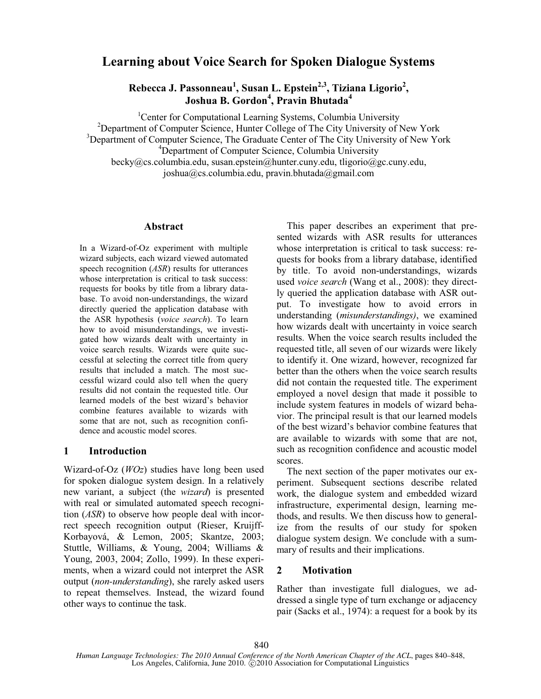# **Learning about Voice Search for Spoken Dialogue Systems**

**Rebecca J. Passonneau<sup>1</sup> , Susan L. Epstein2,3, Tiziana Ligorio<sup>2</sup> , Joshua B. Gordon<sup>4</sup> , Pravin Bhutada<sup>4</sup>**

<sup>1</sup>Center for Computational Learning Systems, Columbia University <sup>2</sup>Department of Computer Science, Hunter College of The City University of New York <sup>3</sup>Department of Computer Science, The Graduate Center of The City University of New York <sup>4</sup>Department of Computer Science, Columbia University becky@cs.columbia.edu, susan.epstein@hunter.cuny.edu, tligorio@gc.cuny.edu, joshua@cs.columbia.edu, pravin.bhutada@gmail.com

#### **Abstract**

In a Wizard-of-Oz experiment with multiple wizard subjects, each wizard viewed automated speech recognition (*ASR*) results for utterances whose interpretation is critical to task success: requests for books by title from a library database. To avoid non-understandings, the wizard directly queried the application database with the ASR hypothesis (*voice search*). To learn how to avoid misunderstandings, we investigated how wizards dealt with uncertainty in voice search results. Wizards were quite successful at selecting the correct title from query results that included a match. The most successful wizard could also tell when the query results did not contain the requested title. Our learned models of the best wizard's behavior combine features available to wizards with some that are not, such as recognition confidence and acoustic model scores.

## **1 Introduction**

Wizard-of-Oz (*WOz*) studies have long been used for spoken dialogue system design. In a relatively new variant, a subject (the *wizard*) is presented with real or simulated automated speech recognition (*ASR*) to observe how people deal with incorrect speech recognition output (Rieser, Kruijff-Korbayová, & Lemon, 2005; Skantze, 2003; Stuttle, Williams, & Young, 2004; Williams & Young, 2003, 2004; Zollo, 1999). In these experiments, when a wizard could not interpret the ASR output (*non-understanding*), she rarely asked users to repeat themselves. Instead, the wizard found other ways to continue the task.

This paper describes an experiment that presented wizards with ASR results for utterances whose interpretation is critical to task success: requests for books from a library database, identified by title. To avoid non-understandings, wizards used *voice search* (Wang et al., 2008): they directly queried the application database with ASR output. To investigate how to avoid errors in understanding (*misunderstandings)*, we examined how wizards dealt with uncertainty in voice search results. When the voice search results included the requested title, all seven of our wizards were likely to identify it. One wizard, however, recognized far better than the others when the voice search results did not contain the requested title. The experiment employed a novel design that made it possible to include system features in models of wizard behavior. The principal result is that our learned models of the best wizard's behavior combine features that are available to wizards with some that are not, such as recognition confidence and acoustic model scores.

The next section of the paper motivates our experiment. Subsequent sections describe related work, the dialogue system and embedded wizard infrastructure, experimental design, learning methods, and results. We then discuss how to generalize from the results of our study for spoken dialogue system design. We conclude with a summary of results and their implications.

## **2 Motivation**

Rather than investigate full dialogues, we addressed a single type of turn exchange or adjacency pair (Sacks et al., 1974): a request for a book by its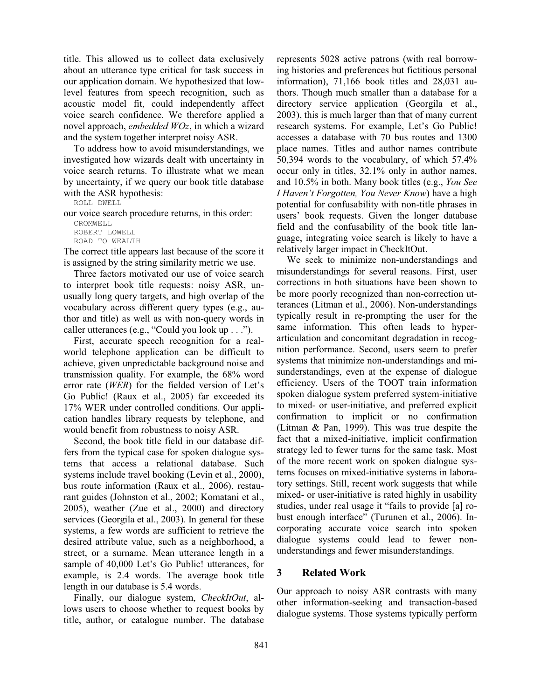title. This allowed us to collect data exclusively about an utterance type critical for task success in our application domain. We hypothesized that lowlevel features from speech recognition, such as acoustic model fit, could independently affect voice search confidence. We therefore applied a novel approach, *embedded WOz*, in which a wizard and the system together interpret noisy ASR.

To address how to avoid misunderstandings, we investigated how wizards dealt with uncertainty in voice search returns. To illustrate what we mean by uncertainty, if we query our book title database with the ASR hypothesis:

ROLL DWELL

our voice search procedure returns, in this order:

```
CROMWELL 
ROBERT LOWELL 
ROAD TO WEALTH
```
The correct title appears last because of the score it is assigned by the string similarity metric we use.

Three factors motivated our use of voice search to interpret book title requests: noisy ASR, unusually long query targets, and high overlap of the vocabulary across different query types (e.g., author and title) as well as with non-query words in caller utterances (e.g., "Could you look up . . .").

First, accurate speech recognition for a realworld telephone application can be difficult to achieve, given unpredictable background noise and transmission quality. For example, the 68% word error rate (*WER*) for the fielded version of Let's Go Public! (Raux et al., 2005) far exceeded its 17% WER under controlled conditions. Our application handles library requests by telephone, and would benefit from robustness to noisy ASR.

Second, the book title field in our database differs from the typical case for spoken dialogue systems that access a relational database. Such systems include travel booking (Levin et al., 2000), bus route information (Raux et al., 2006), restaurant guides (Johnston et al., 2002; Komatani et al., 2005), weather (Zue et al., 2000) and directory services (Georgila et al., 2003). In general for these systems, a few words are sufficient to retrieve the desired attribute value, such as a neighborhood, a street, or a surname. Mean utterance length in a sample of 40,000 Let's Go Public! utterances, for example, is 2.4 words. The average book title length in our database is 5.4 words.

Finally, our dialogue system, *CheckItOut*, allows users to choose whether to request books by title, author, or catalogue number. The database represents 5028 active patrons (with real borrowing histories and preferences but fictitious personal information), 71,166 book titles and 28,031 authors. Though much smaller than a database for a directory service application (Georgila et al., 2003), this is much larger than that of many current research systems. For example, Let's Go Public! accesses a database with 70 bus routes and 1300 place names. Titles and author names contribute 50,394 words to the vocabulary, of which 57.4% occur only in titles, 32.1% only in author names, and 10.5% in both. Many book titles (e.g., *You See I Haven't Forgotten, You Never Know*) have a high potential for confusability with non-title phrases in users' book requests. Given the longer database field and the confusability of the book title language, integrating voice search is likely to have a relatively larger impact in CheckItOut.

We seek to minimize non-understandings and misunderstandings for several reasons. First, user corrections in both situations have been shown to be more poorly recognized than non-correction utterances (Litman et al., 2006). Non-understandings typically result in re-prompting the user for the same information. This often leads to hyperarticulation and concomitant degradation in recognition performance. Second, users seem to prefer systems that minimize non-understandings and misunderstandings, even at the expense of dialogue efficiency. Users of the TOOT train information spoken dialogue system preferred system-initiative to mixed- or user-initiative, and preferred explicit confirmation to implicit or no confirmation (Litman & Pan, 1999). This was true despite the fact that a mixed-initiative, implicit confirmation strategy led to fewer turns for the same task. Most of the more recent work on spoken dialogue systems focuses on mixed-initiative systems in laboratory settings. Still, recent work suggests that while mixed- or user-initiative is rated highly in usability studies, under real usage it "fails to provide [a] robust enough interface" (Turunen et al., 2006). Incorporating accurate voice search into spoken dialogue systems could lead to fewer nonunderstandings and fewer misunderstandings.

## **3 Related Work**

Our approach to noisy ASR contrasts with many other information-seeking and transaction-based dialogue systems. Those systems typically perform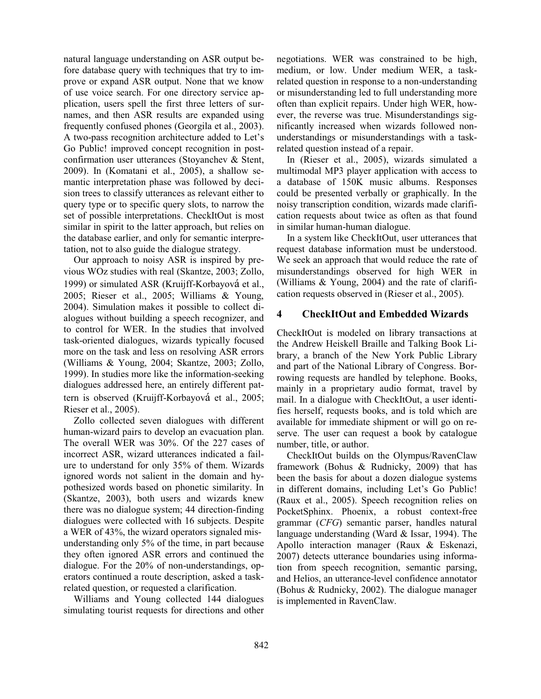natural language understanding on ASR output before database query with techniques that try to improve or expand ASR output. None that we know of use voice search. For one directory service application, users spell the first three letters of surnames, and then ASR results are expanded using frequently confused phones (Georgila et al., 2003). A two-pass recognition architecture added to Let's Go Public! improved concept recognition in postconfirmation user utterances (Stoyanchev & Stent, 2009). In (Komatani et al., 2005), a shallow semantic interpretation phase was followed by decision trees to classify utterances as relevant either to query type or to specific query slots, to narrow the set of possible interpretations. CheckItOut is most similar in spirit to the latter approach, but relies on the database earlier, and only for semantic interpretation, not to also guide the dialogue strategy.

Our approach to noisy ASR is inspired by previous WOz studies with real (Skantze, 2003; Zollo, 1999) or simulated ASR (Kruijff-Korbayová et al., 2005; Rieser et al., 2005; Williams & Young, 2004). Simulation makes it possible to collect dialogues without building a speech recognizer, and to control for WER. In the studies that involved task-oriented dialogues, wizards typically focused more on the task and less on resolving ASR errors (Williams & Young, 2004; Skantze, 2003; Zollo, 1999). In studies more like the information-seeking dialogues addressed here, an entirely different pattern is observed (Kruijff-Korbayová et al., 2005; Rieser et al., 2005).

Zollo collected seven dialogues with different human-wizard pairs to develop an evacuation plan. The overall WER was 30%. Of the 227 cases of incorrect ASR, wizard utterances indicated a failure to understand for only 35% of them. Wizards ignored words not salient in the domain and hypothesized words based on phonetic similarity. In (Skantze, 2003), both users and wizards knew there was no dialogue system; 44 direction-finding dialogues were collected with 16 subjects. Despite a WER of 43%, the wizard operators signaled misunderstanding only 5% of the time, in part because they often ignored ASR errors and continued the dialogue. For the 20% of non-understandings, operators continued a route description, asked a taskrelated question, or requested a clarification.

Williams and Young collected 144 dialogues simulating tourist requests for directions and other negotiations. WER was constrained to be high, medium, or low. Under medium WER, a taskrelated question in response to a non-understanding or misunderstanding led to full understanding more often than explicit repairs. Under high WER, however, the reverse was true. Misunderstandings significantly increased when wizards followed nonunderstandings or misunderstandings with a taskrelated question instead of a repair.

In (Rieser et al., 2005), wizards simulated a multimodal MP3 player application with access to a database of 150K music albums. Responses could be presented verbally or graphically. In the noisy transcription condition, wizards made clarification requests about twice as often as that found in similar human-human dialogue.

In a system like CheckItOut, user utterances that request database information must be understood. We seek an approach that would reduce the rate of misunderstandings observed for high WER in (Williams & Young, 2004) and the rate of clarification requests observed in (Rieser et al., 2005).

#### **4 CheckItOut and Embedded Wizards**

CheckItOut is modeled on library transactions at the Andrew Heiskell Braille and Talking Book Library, a branch of the New York Public Library and part of the National Library of Congress. Borrowing requests are handled by telephone. Books, mainly in a proprietary audio format, travel by mail. In a dialogue with CheckItOut, a user identifies herself, requests books, and is told which are available for immediate shipment or will go on reserve. The user can request a book by catalogue number, title, or author.

CheckItOut builds on the Olympus/RavenClaw framework (Bohus & Rudnicky, 2009) that has been the basis for about a dozen dialogue systems in different domains, including Let's Go Public! (Raux et al., 2005). Speech recognition relies on PocketSphinx. Phoenix, a robust context-free grammar (*CFG*) semantic parser, handles natural language understanding (Ward & Issar, 1994). The Apollo interaction manager (Raux & Eskenazi, 2007) detects utterance boundaries using information from speech recognition, semantic parsing, and Helios, an utterance-level confidence annotator (Bohus & Rudnicky, 2002). The dialogue manager is implemented in RavenClaw.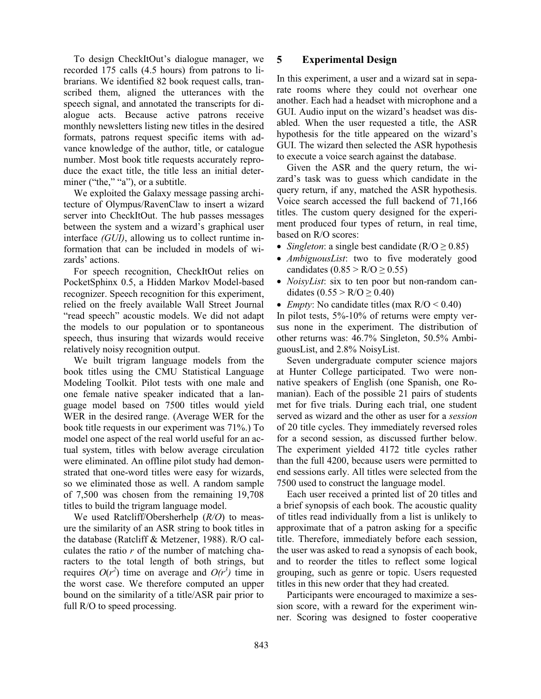To design CheckItOut's dialogue manager, we recorded 175 calls (4.5 hours) from patrons to librarians. We identified 82 book request calls, transcribed them, aligned the utterances with the speech signal, and annotated the transcripts for dialogue acts. Because active patrons receive monthly newsletters listing new titles in the desired formats, patrons request specific items with advance knowledge of the author, title, or catalogue number. Most book title requests accurately reproduce the exact title, the title less an initial determiner ("the," "a"), or a subtitle.

We exploited the Galaxy message passing architecture of Olympus/RavenClaw to insert a wizard server into CheckItOut. The hub passes messages between the system and a wizard's graphical user interface *(GUI)*, allowing us to collect runtime information that can be included in models of wizards' actions.

For speech recognition, CheckItOut relies on PocketSphinx 0.5, a Hidden Markov Model-based recognizer. Speech recognition for this experiment, relied on the freely available Wall Street Journal "read speech" acoustic models. We did not adapt the models to our population or to spontaneous speech, thus insuring that wizards would receive relatively noisy recognition output.

We built trigram language models from the book titles using the CMU Statistical Language Modeling Toolkit. Pilot tests with one male and one female native speaker indicated that a language model based on 7500 titles would yield WER in the desired range. (Average WER for the book title requests in our experiment was 71%.) To model one aspect of the real world useful for an actual system, titles with below average circulation were eliminated. An offline pilot study had demonstrated that one-word titles were easy for wizards, so we eliminated those as well. A random sample of 7,500 was chosen from the remaining 19,708 titles to build the trigram language model.

We used Ratcliff/Obersherhelp (*R/O*) to measure the similarity of an ASR string to book titles in the database (Ratcliff & Metzener, 1988). R/O calculates the ratio *r* of the number of matching characters to the total length of both strings, but requires  $O(r^2)$  time on average and  $O(r^3)$  time in the worst case. We therefore computed an upper bound on the similarity of a title/ASR pair prior to full R/O to speed processing.

#### **5 Experimental Design**

In this experiment, a user and a wizard sat in separate rooms where they could not overhear one another. Each had a headset with microphone and a GUI. Audio input on the wizard's headset was disabled. When the user requested a title, the ASR hypothesis for the title appeared on the wizard's GUI. The wizard then selected the ASR hypothesis to execute a voice search against the database.

Given the ASR and the query return, the wizard's task was to guess which candidate in the query return, if any, matched the ASR hypothesis. Voice search accessed the full backend of 71,166 titles. The custom query designed for the experiment produced four types of return, in real time, based on R/O scores:

- *Singleton*: a single best candidate  $(R/O \ge 0.85)$
- · *AmbiguousList*: two to five moderately good candidates  $(0.85 > R/O \ge 0.55)$
- · *NoisyList*: six to ten poor but non-random candidates  $(0.55 > R/O \ge 0.40)$
- *Empty*: No candidate titles (max  $R/O < 0.40$ )

In pilot tests, 5%-10% of returns were empty versus none in the experiment. The distribution of other returns was: 46.7% Singleton, 50.5% AmbiguousList, and 2.8% NoisyList.

Seven undergraduate computer science majors at Hunter College participated. Two were nonnative speakers of English (one Spanish, one Romanian). Each of the possible 21 pairs of students met for five trials. During each trial, one student served as wizard and the other as user for a *session* of 20 title cycles. They immediately reversed roles for a second session, as discussed further below. The experiment yielded 4172 title cycles rather than the full 4200, because users were permitted to end sessions early. All titles were selected from the 7500 used to construct the language model.

Each user received a printed list of 20 titles and a brief synopsis of each book. The acoustic quality of titles read individually from a list is unlikely to approximate that of a patron asking for a specific title. Therefore, immediately before each session, the user was asked to read a synopsis of each book, and to reorder the titles to reflect some logical grouping, such as genre or topic. Users requested titles in this new order that they had created.

Participants were encouraged to maximize a session score, with a reward for the experiment winner. Scoring was designed to foster cooperative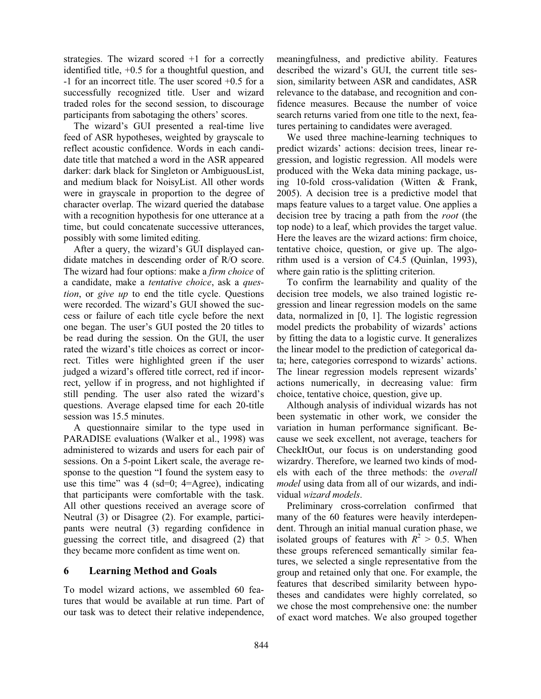strategies. The wizard scored +1 for a correctly identified title, +0.5 for a thoughtful question, and -1 for an incorrect title. The user scored +0.5 for a successfully recognized title. User and wizard traded roles for the second session, to discourage participants from sabotaging the others' scores.

The wizard's GUI presented a real-time live feed of ASR hypotheses, weighted by grayscale to reflect acoustic confidence. Words in each candidate title that matched a word in the ASR appeared darker: dark black for Singleton or AmbiguousList, and medium black for NoisyList. All other words were in grayscale in proportion to the degree of character overlap. The wizard queried the database with a recognition hypothesis for one utterance at a time, but could concatenate successive utterances, possibly with some limited editing.

After a query, the wizard's GUI displayed candidate matches in descending order of R/O score. The wizard had four options: make a *firm choice* of a candidate, make a *tentative choice*, ask a *question*, or *give up* to end the title cycle. Questions were recorded. The wizard's GUI showed the success or failure of each title cycle before the next one began. The user's GUI posted the 20 titles to be read during the session. On the GUI, the user rated the wizard's title choices as correct or incorrect. Titles were highlighted green if the user judged a wizard's offered title correct, red if incorrect, yellow if in progress, and not highlighted if still pending. The user also rated the wizard's questions. Average elapsed time for each 20-title session was 15.5 minutes.

A questionnaire similar to the type used in PARADISE evaluations (Walker et al., 1998) was administered to wizards and users for each pair of sessions. On a 5-point Likert scale, the average response to the question "I found the system easy to use this time" was  $4 \text{ (sd=0; 4=Agree)}$ , indicating that participants were comfortable with the task. All other questions received an average score of Neutral (3) or Disagree (2). For example, participants were neutral (3) regarding confidence in guessing the correct title, and disagreed (2) that they became more confident as time went on.

## **6 Learning Method and Goals**

To model wizard actions, we assembled 60 features that would be available at run time. Part of our task was to detect their relative independence,

meaningfulness, and predictive ability. Features described the wizard's GUI, the current title session, similarity between ASR and candidates, ASR relevance to the database, and recognition and confidence measures. Because the number of voice search returns varied from one title to the next, features pertaining to candidates were averaged.

We used three machine-learning techniques to predict wizards' actions: decision trees, linear regression, and logistic regression. All models were produced with the Weka data mining package, using 10-fold cross-validation (Witten & Frank, 2005). A decision tree is a predictive model that maps feature values to a target value. One applies a decision tree by tracing a path from the *root* (the top node) to a leaf, which provides the target value. Here the leaves are the wizard actions: firm choice, tentative choice, question, or give up. The algorithm used is a version of C4.5 (Quinlan, 1993), where gain ratio is the splitting criterion.

To confirm the learnability and quality of the decision tree models, we also trained logistic regression and linear regression models on the same data, normalized in [0, 1]. The logistic regression model predicts the probability of wizards' actions by fitting the data to a logistic curve. It generalizes the linear model to the prediction of categorical data; here, categories correspond to wizards' actions. The linear regression models represent wizards' actions numerically, in decreasing value: firm choice, tentative choice, question, give up.

Although analysis of individual wizards has not been systematic in other work, we consider the variation in human performance significant. Because we seek excellent, not average, teachers for CheckItOut, our focus is on understanding good wizardry. Therefore, we learned two kinds of models with each of the three methods: the *overall model* using data from all of our wizards, and individual *wizard models*.

Preliminary cross-correlation confirmed that many of the 60 features were heavily interdependent. Through an initial manual curation phase, we isolated groups of features with  $R^2 > 0.5$ . When these groups referenced semantically similar features, we selected a single representative from the group and retained only that one. For example, the features that described similarity between hypotheses and candidates were highly correlated, so we chose the most comprehensive one: the number of exact word matches. We also grouped together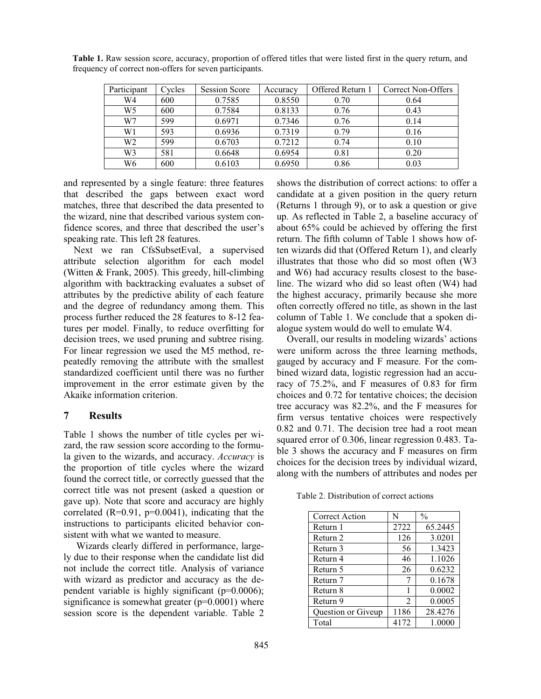| Participant    | Cycles | <b>Session Score</b> | Accuracy | Offered Return 1 | Correct Non-Offers |
|----------------|--------|----------------------|----------|------------------|--------------------|
| W4             | 600    | 0.7585               | 0.8550   | 0.70             | 0.64               |
| W <sub>5</sub> | 600    | 0.7584               | 0.8133   | 0.76             | 0.43               |
| W7             | 599    | 0.6971               | 0.7346   | 0.76             | 0.14               |
| W1             | 593    | 0.6936               | 0.7319   | 0.79             | 0.16               |
| W <sub>2</sub> | 599    | 0.6703               | 0.7212   | 0.74             | 0.10               |
| W3             | 581    | 0.6648               | 0.6954   | 0.81             | 0.20               |
| W6             | 600    | 0.6103               | 0.6950   | 0.86             | 0.03               |

**Table 1.** Raw session score, accuracy, proportion of offered titles that were listed first in the query return, and frequency of correct non-offers for seven participants.

and represented by a single feature: three features that described the gaps between exact word matches, three that described the data presented to the wizard, nine that described various system confidence scores, and three that described the user's speaking rate. This left 28 features.

Next we ran CfsSubsetEval, a supervised attribute selection algorithm for each model (Witten & Frank, 2005). This greedy, hill-climbing algorithm with backtracking evaluates a subset of attributes by the predictive ability of each feature and the degree of redundancy among them. This process further reduced the 28 features to 8-12 features per model. Finally, to reduce overfitting for decision trees, we used pruning and subtree rising. For linear regression we used the M5 method, repeatedly removing the attribute with the smallest standardized coefficient until there was no further improvement in the error estimate given by the Akaike information criterion.

#### **7 Results**

Table 1 shows the number of title cycles per wizard, the raw session score according to the formula given to the wizards, and accuracy. *Accuracy* is the proportion of title cycles where the wizard found the correct title, or correctly guessed that the correct title was not present (asked a question or gave up). Note that score and accuracy are highly correlated  $(R=0.91, p=0.0041)$ , indicating that the instructions to participants elicited behavior consistent with what we wanted to measure.

Wizards clearly differed in performance, largely due to their response when the candidate list did not include the correct title. Analysis of variance with wizard as predictor and accuracy as the dependent variable is highly significant (p=0.0006); significance is somewhat greater  $(p=0.0001)$  where session score is the dependent variable. Table 2 shows the distribution of correct actions: to offer a candidate at a given position in the query return (Returns 1 through 9), or to ask a question or give up. As reflected in Table 2, a baseline accuracy of about 65% could be achieved by offering the first return. The fifth column of Table 1 shows how often wizards did that (Offered Return 1), and clearly illustrates that those who did so most often (W3 and W6) had accuracy results closest to the baseline. The wizard who did so least often (W4) had the highest accuracy, primarily because she more often correctly offered no title, as shown in the last column of Table 1. We conclude that a spoken dialogue system would do well to emulate W4.

Overall, our results in modeling wizards' actions were uniform across the three learning methods, gauged by accuracy and F measure. For the combined wizard data, logistic regression had an accuracy of 75.2%, and F measures of 0.83 for firm choices and 0.72 for tentative choices; the decision tree accuracy was 82.2%, and the F measures for firm versus tentative choices were respectively 0.82 and 0.71. The decision tree had a root mean squared error of 0.306, linear regression 0.483. Table 3 shows the accuracy and F measures on firm choices for the decision trees by individual wizard, along with the numbers of attributes and nodes per

Table 2. Distribution of correct actions

| Correct Action     | N    | $\frac{0}{0}$ |
|--------------------|------|---------------|
| Return 1           | 2722 | 65.2445       |
| Return 2           | 126  | 3.0201        |
| Return 3           | 56   | 1.3423        |
| Return 4           | 46   | 1.1026        |
| Return 5           | 26   | 0.6232        |
| Return 7           | 7    | 0.1678        |
| Return 8           |      | 0.0002        |
| Return 9           | 2    | 0.0005        |
| Question or Giveup | 1186 | 28.4276       |
| Total              | 4172 | 1.0000        |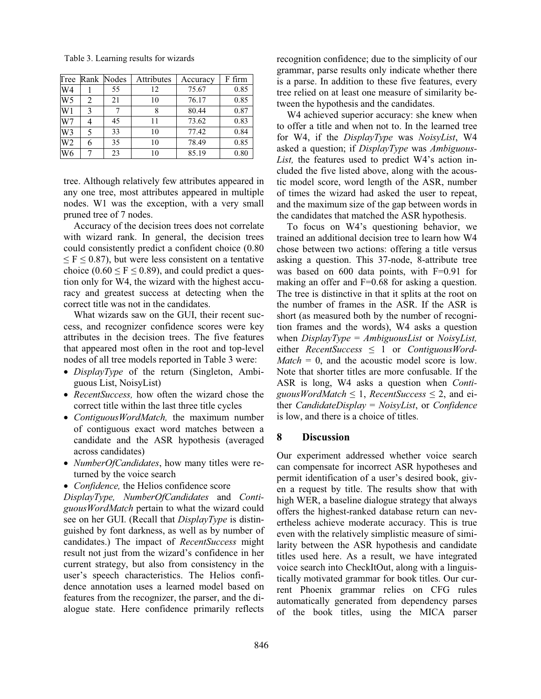| Tree           |   | Rank Nodes | Attributes | Accuracy | F firm |
|----------------|---|------------|------------|----------|--------|
| W4             |   | 55         | 12         | 75.67    | 0.85   |
| W <sub>5</sub> | 2 | 21         | 10         | 76.17    | 0.85   |
| W1             | 3 |            |            | 80.44    | 0.87   |
| W7             |   | 45         | 11         | 73.62    | 0.83   |
| W <sub>3</sub> |   | 33         | 10         | 77.42    | 0.84   |
| W <sub>2</sub> |   | 35         | 10         | 78.49    | 0.85   |
| W6             |   | 23         | 10         | 85.19    | 0.80   |

Table 3. Learning results for wizards

tree. Although relatively few attributes appeared in any one tree, most attributes appeared in multiple nodes. W1 was the exception, with a very small pruned tree of 7 nodes.

Accuracy of the decision trees does not correlate with wizard rank. In general, the decision trees could consistently predict a confident choice (0.80  $\leq$  F  $\leq$  0.87), but were less consistent on a tentative choice (0.60  $\leq$  F  $\leq$  0.89), and could predict a question only for W4, the wizard with the highest accuracy and greatest success at detecting when the correct title was not in the candidates.

What wizards saw on the GUI, their recent success, and recognizer confidence scores were key attributes in the decision trees. The five features that appeared most often in the root and top-level nodes of all tree models reported in Table 3 were:

- · *DisplayType* of the return (Singleton, Ambiguous List, NoisyList)
- · *RecentSuccess,* how often the wizard chose the correct title within the last three title cycles
- · *ContiguousWordMatch,* the maximum number of contiguous exact word matches between a candidate and the ASR hypothesis (averaged across candidates)
- · *NumberOfCandidates*, how many titles were returned by the voice search
- · *Confidence,* the Helios confidence score

*DisplayType, NumberOfCandidates* and *ContiguousWordMatch* pertain to what the wizard could see on her GUI. (Recall that *DisplayType* is distinguished by font darkness, as well as by number of candidates.) The impact of *RecentSuccess* might result not just from the wizard's confidence in her current strategy, but also from consistency in the user's speech characteristics. The Helios confidence annotation uses a learned model based on features from the recognizer, the parser, and the dialogue state. Here confidence primarily reflects

recognition confidence; due to the simplicity of our grammar, parse results only indicate whether there is a parse. In addition to these five features, every tree relied on at least one measure of similarity between the hypothesis and the candidates.

W4 achieved superior accuracy: she knew when to offer a title and when not to. In the learned tree for W4, if the *DisplayType* was *NoisyList*, W4 asked a question; if *DisplayType* was *Ambiguous-List,* the features used to predict W4's action included the five listed above, along with the acoustic model score, word length of the ASR, number of times the wizard had asked the user to repeat, and the maximum size of the gap between words in the candidates that matched the ASR hypothesis.

To focus on W4's questioning behavior, we trained an additional decision tree to learn how W4 chose between two actions: offering a title versus asking a question. This 37-node, 8-attribute tree was based on 600 data points, with F=0.91 for making an offer and F=0.68 for asking a question. The tree is distinctive in that it splits at the root on the number of frames in the ASR. If the ASR is short (as measured both by the number of recognition frames and the words), W4 asks a question when *DisplayType* = *AmbiguousList* or *Nois*y*List,* either *RecentSuccess* ≤ 1 or *ContiguousWord-* $Match = 0$ , and the acoustic model score is low. Note that shorter titles are more confusable. If the ASR is long, W4 asks a question when *Conti-* $\alpha$ *guousWordMatch*  $\leq$  1, *RecentSuccess*  $\leq$  2, and either *CandidateDisplay* = *NoisyList*, or *Confidence* is low, and there is a choice of titles.

#### **8 Discussion**

Our experiment addressed whether voice search can compensate for incorrect ASR hypotheses and permit identification of a user's desired book, given a request by title. The results show that with high WER, a baseline dialogue strategy that always offers the highest-ranked database return can nevertheless achieve moderate accuracy. This is true even with the relatively simplistic measure of similarity between the ASR hypothesis and candidate titles used here. As a result, we have integrated voice search into CheckItOut, along with a linguistically motivated grammar for book titles. Our current Phoenix grammar relies on CFG rules automatically generated from dependency parses of the book titles, using the MICA parser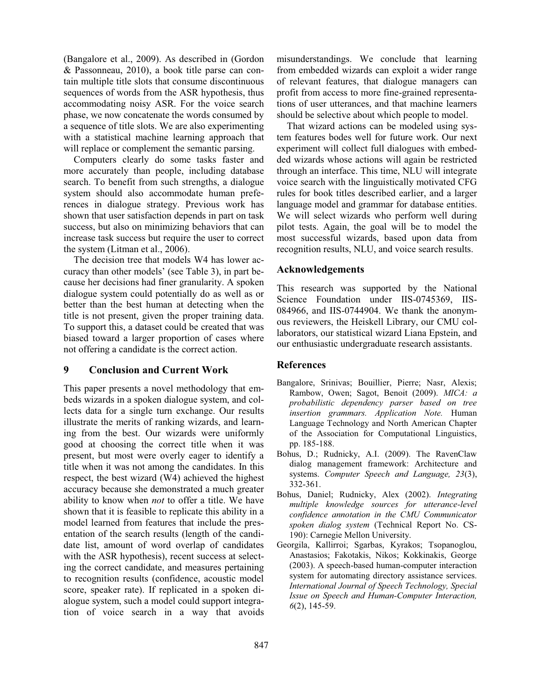(Bangalore et al., 2009). As described in (Gordon & Passonneau, 2010), a book title parse can contain multiple title slots that consume discontinuous sequences of words from the ASR hypothesis, thus accommodating noisy ASR. For the voice search phase, we now concatenate the words consumed by a sequence of title slots. We are also experimenting with a statistical machine learning approach that will replace or complement the semantic parsing.

Computers clearly do some tasks faster and more accurately than people, including database search. To benefit from such strengths, a dialogue system should also accommodate human preferences in dialogue strategy. Previous work has shown that user satisfaction depends in part on task success, but also on minimizing behaviors that can increase task success but require the user to correct the system (Litman et al., 2006).

The decision tree that models W4 has lower accuracy than other models' (see Table 3), in part because her decisions had finer granularity. A spoken dialogue system could potentially do as well as or better than the best human at detecting when the title is not present, given the proper training data. To support this, a dataset could be created that was biased toward a larger proportion of cases where not offering a candidate is the correct action.

# **9 Conclusion and Current Work**

This paper presents a novel methodology that embeds wizards in a spoken dialogue system, and collects data for a single turn exchange. Our results illustrate the merits of ranking wizards, and learning from the best. Our wizards were uniformly good at choosing the correct title when it was present, but most were overly eager to identify a title when it was not among the candidates. In this respect, the best wizard (W4) achieved the highest accuracy because she demonstrated a much greater ability to know when *not* to offer a title. We have shown that it is feasible to replicate this ability in a model learned from features that include the presentation of the search results (length of the candidate list, amount of word overlap of candidates with the ASR hypothesis), recent success at selecting the correct candidate, and measures pertaining to recognition results (confidence, acoustic model score, speaker rate). If replicated in a spoken dialogue system, such a model could support integration of voice search in a way that avoids misunderstandings. We conclude that learning from embedded wizards can exploit a wider range of relevant features, that dialogue managers can profit from access to more fine-grained representations of user utterances, and that machine learners should be selective about which people to model.

That wizard actions can be modeled using system features bodes well for future work. Our next experiment will collect full dialogues with embedded wizards whose actions will again be restricted through an interface. This time, NLU will integrate voice search with the linguistically motivated CFG rules for book titles described earlier, and a larger language model and grammar for database entities. We will select wizards who perform well during pilot tests. Again, the goal will be to model the most successful wizards, based upon data from recognition results, NLU, and voice search results.

## **Acknowledgements**

This research was supported by the National Science Foundation under IIS-0745369, IIS-084966, and IIS-0744904. We thank the anonymous reviewers, the Heiskell Library, our CMU collaborators, our statistical wizard Liana Epstein, and our enthusiastic undergraduate research assistants.

#### **References**

- Bangalore, Srinivas; Bouillier, Pierre; Nasr, Alexis; Rambow, Owen; Sagot, Benoit (2009). *MICA: a probabilistic dependency parser based on tree insertion grammars. Application Note.* Human Language Technology and North American Chapter of the Association for Computational Linguistics, pp. 185-188.
- Bohus, D.; Rudnicky, A.I. (2009). The RavenClaw dialog management framework: Architecture and systems. *Computer Speech and Language, 23*(3), 332-361.
- Bohus, Daniel; Rudnicky, Alex (2002). *Integrating multiple knowledge sources for utterance-level confidence annotation in the CMU Communicator spoken dialog system* (Technical Report No. CS-190): Carnegie Mellon University.
- Georgila, Kallirroi; Sgarbas, Kyrakos; Tsopanoglou, Anastasios; Fakotakis, Nikos; Kokkinakis, George (2003). A speech-based human-computer interaction system for automating directory assistance services. *International Journal of Speech Technology, Special Issue on Speech and Human-Computer Interaction, 6*(2), 145-59.